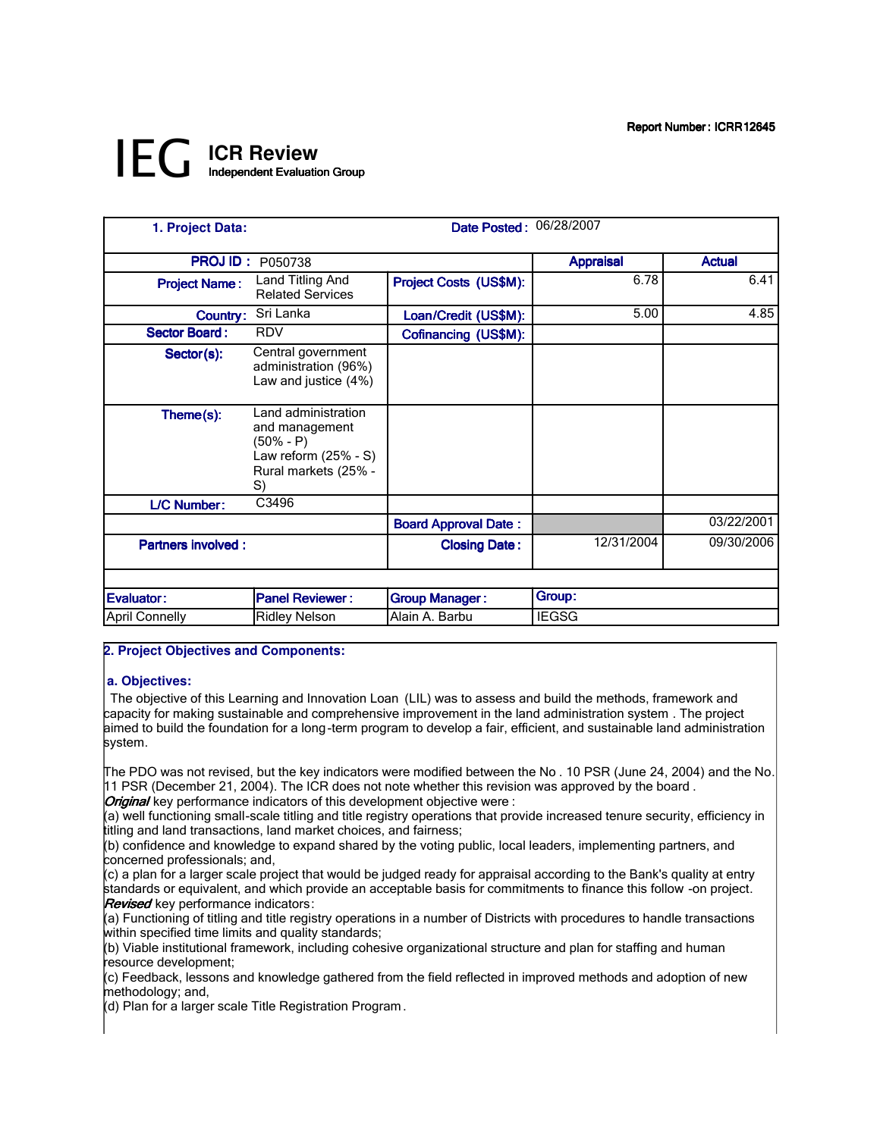# *IEG* **ICR Review** Independent Evaluation Group

| 1. Project Data:          | Date Posted: 06/28/2007                                                                                    |                             |                  |               |
|---------------------------|------------------------------------------------------------------------------------------------------------|-----------------------------|------------------|---------------|
| <b>PROJID:</b>            | P050738                                                                                                    |                             | <b>Appraisal</b> | <b>Actual</b> |
| <b>Project Name:</b>      | Land Titling And<br><b>Related Services</b>                                                                | Project Costs (US\$M):      | 6.78             | 6.41          |
| Country:                  | Sri Lanka                                                                                                  | Loan/Credit (US\$M):        | 5.00             | 4.85          |
| <b>Sector Board:</b>      | <b>RDV</b>                                                                                                 | Cofinancing (US\$M):        |                  |               |
| Sector(s):                | Central government<br>administration (96%)<br>Law and justice (4%)                                         |                             |                  |               |
| Theme(s):                 | Land administration<br>and management<br>(50% - P)<br>Law reform $(25% - S)$<br>Rural markets (25% -<br>S) |                             |                  |               |
| L/C Number:               | C3496                                                                                                      |                             |                  |               |
|                           |                                                                                                            | <b>Board Approval Date:</b> |                  | 03/22/2001    |
| <b>Partners involved:</b> |                                                                                                            | <b>Closing Date:</b>        | 12/31/2004       | 09/30/2006    |
|                           |                                                                                                            |                             |                  |               |
| Evaluator:                | <b>Panel Reviewer:</b>                                                                                     | <b>Group Manager:</b>       | Group:           |               |
| April Connelly            | <b>Ridley Nelson</b>                                                                                       | Alain A. Barbu              | <b>IEGSG</b>     |               |

# **2. Project Objectives and Components:**

## **a. Objectives:**

 The objective of this Learning and Innovation Loan (LIL) was to assess and build the methods, framework and capacity for making sustainable and comprehensive improvement in the land administration system . The project aimed to build the foundation for a long-term program to develop a fair, efficient, and sustainable land administration system.

The PDO was not revised, but the key indicators were modified between the No . 10 PSR (June 24, 2004) and the No. 11 PSR (December 21, 2004). The ICR does not note whether this revision was approved by the board . **Original** key performance indicators of this development objective were :

(a) well functioning small-scale titling and title registry operations that provide increased tenure security, efficiency in titling and land transactions, land market choices, and fairness;

(b) confidence and knowledge to expand shared by the voting public, local leaders, implementing partners, and concerned professionals; and,

(c) a plan for a larger scale project that would be judged ready for appraisal according to the Bank's quality at entry standards or equivalent, and which provide an acceptable basis for commitments to finance this follow -on project. **Revised** key performance indicators:

(a) Functioning of titling and title registry operations in a number of Districts with procedures to handle transactions within specified time limits and quality standards;

(b) Viable institutional framework, including cohesive organizational structure and plan for staffing and human resource development;

(c) Feedback, lessons and knowledge gathered from the field reflected in improved methods and adoption of new methodology; and,

(d) Plan for a larger scale Title Registration Program.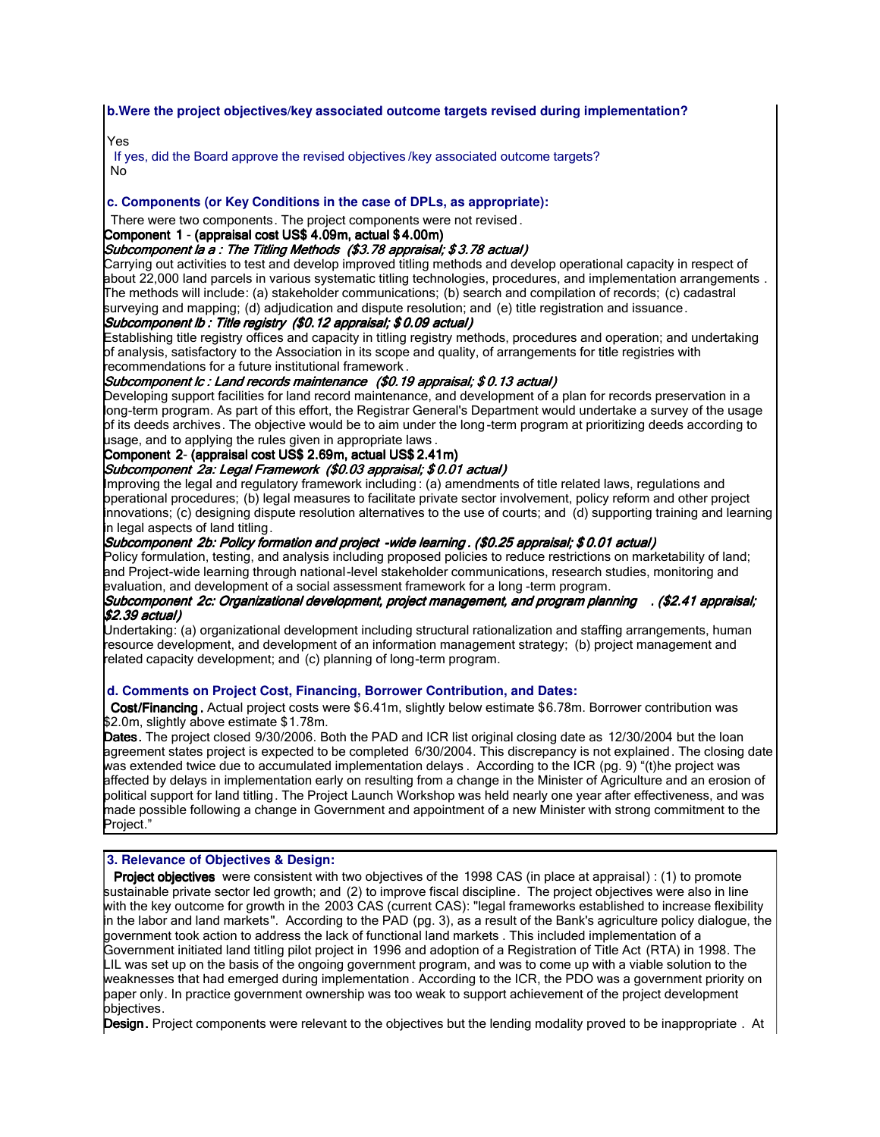## **b.Were the project objectives/key associated outcome targets revised during implementation?**

# Yes

If yes, did the Board approve the revised objectives /key associated outcome targets? No

# **c. Components (or Key Conditions in the case of DPLs, as appropriate):**

There were two components. The project components were not revised .

#### Component 1 - (appraisal cost US\$ 4.09m, actual \$ 4.00m)

#### Subcomponent la a : The Titling Methods (\$3.78 appraisal; \$ 3.78 actual)

Carrying out activities to test and develop improved titling methods and develop operational capacity in respect of about 22,000 land parcels in various systematic titling technologies, procedures, and implementation arrangements . The methods will include: (a) stakeholder communications; (b) search and compilation of records; (c) cadastral surveying and mapping; (d) adjudication and dispute resolution; and (e) title registration and issuance.

## Subcomponent lb : Title registry (\$0.12 appraisal; \$ 0.09 actual)

Establishing title registry offices and capacity in titling registry methods, procedures and operation; and undertaking of analysis, satisfactory to the Association in its scope and quality, of arrangements for title registries with recommendations for a future institutional framework .

## Subcomponent lc : Land records maintenance (\$0.19 appraisal; \$ 0.13 actual)

Developing support facilities for land record maintenance, and development of a plan for records preservation in a long-term program. As part of this effort, the Registrar General's Department would undertake a survey of the usage of its deeds archives. The objective would be to aim under the long -term program at prioritizing deeds according to usage, and to applying the rules given in appropriate laws .

## Component 2- (appraisal cost US\$ 2.69m, actual US\$ 2.41m)

#### Subcomponent 2a: Legal Framework (\$0.03 appraisal; \$ 0.01 actual)

Improving the legal and regulatory framework including : (a) amendments of title related laws, regulations and operational procedures; (b) legal measures to facilitate private sector involvement, policy reform and other project innovations; (c) designing dispute resolution alternatives to the use of courts; and (d) supporting training and learning in legal aspects of land titling.

## Subcomponent 2b: Policy formation and project -wide learning . (\$0.25 appraisal; \$ 0.01 actual)

Policy formulation, testing, and analysis including proposed policies to reduce restrictions on marketability of land; and Project-wide learning through national-level stakeholder communications, research studies, monitoring and evaluation, and development of a social assessment framework for a long -term program.

## Subcomponent 2c: Organizational development, project management, and program planning . (\$2.41 appraisal; \$2.39actual)

Undertaking: (a) organizational development including structural rationalization and staffing arrangements, human resource development, and development of an information management strategy; (b) project management and related capacity development; and (c) planning of long-term program.

## **d. Comments on Project Cost, Financing, Borrower Contribution, and Dates:**

Cost/Financing . Actual project costs were \$6.41m, slightly below estimate \$6.78m. Borrower contribution was \$2.0m, slightly above estimate \$1.78m.

Dates. The project closed 9/30/2006. Both the PAD and ICR list original closing date as 12/30/2004 but the loan agreement states project is expected to be completed 6/30/2004. This discrepancy is not explained. The closing date was extended twice due to accumulated implementation delays . According to the ICR (pg. 9) "(t)he project was affected by delays in implementation early on resulting from a change in the Minister of Agriculture and an erosion of political support for land titling. The Project Launch Workshop was held nearly one year after effectiveness, and was made possible following a change in Government and appointment of a new Minister with strong commitment to the Project."

## **3. Relevance of Objectives & Design:**

Project objectives were consistent with two objectives of the 1998 CAS (in place at appraisal) : (1) to promote sustainable private sector led growth; and (2) to improve fiscal discipline. The project objectives were also in line with the key outcome for growth in the 2003 CAS (current CAS): "legal frameworks established to increase flexibility in the labor and land markets". According to the PAD (pg. 3), as a result of the Bank's agriculture policy dialogue, the government took action to address the lack of functional land markets . This included implementation of a Government initiated land titling pilot project in 1996 and adoption of a Registration of Title Act (RTA) in 1998. The LIL was set up on the basis of the ongoing government program, and was to come up with a viable solution to the weaknesses that had emerged during implementation . According to the ICR, the PDO was a government priority on paper only. In practice government ownership was too weak to support achievement of the project development objectives.

Design. Project components were relevant to the objectives but the lending modality proved to be inappropriate . At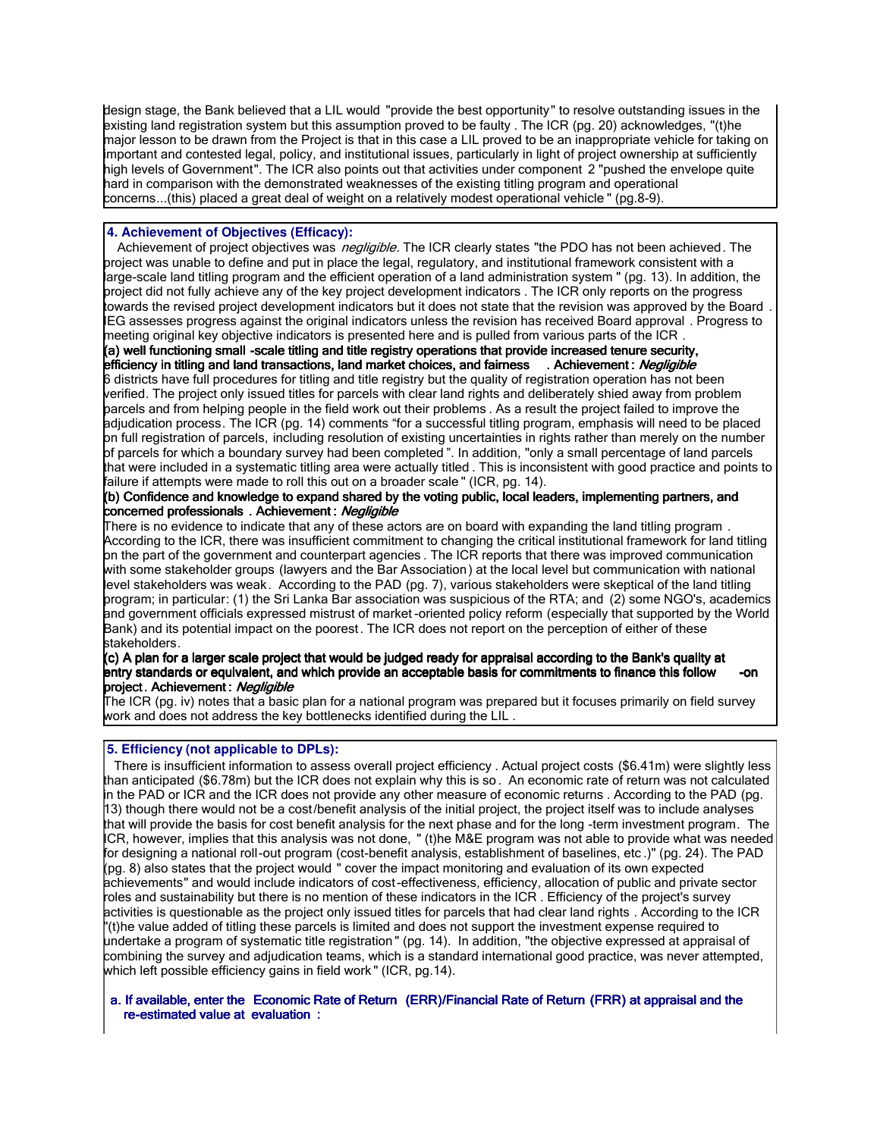design stage, the Bank believed that a LIL would "provide the best opportunity" to resolve outstanding issues in the existing land registration system but this assumption proved to be faulty . The ICR (pg. 20) acknowledges, "(t)he major lesson to be drawn from the Project is that in this case a LIL proved to be an inappropriate vehicle for taking on important and contested legal, policy, and institutional issues, particularly in light of project ownership at sufficiently high levels of Government". The ICR also points out that activities under component 2 "pushed the envelope quite hard in comparison with the demonstrated weaknesses of the existing titling program and operational concerns...(this) placed a great deal of weight on a relatively modest operational vehicle " (pg.8-9).

## **4. Achievement of Objectives (Efficacy):**

Achievement of project objectives was *negligible*. The ICR clearly states "the PDO has not been achieved. The project was unable to define and put in place the legal, regulatory, and institutional framework consistent with a large-scale land titling program and the efficient operation of a land administration system " (pg. 13). In addition, the project did not fully achieve any of the key project development indicators . The ICR only reports on the progress towards the revised project development indicators but it does not state that the revision was approved by the Board IEG assesses progress against the original indicators unless the revision has received Board approval . Progress to meeting original key objective indicators is presented here and is pulled from various parts of the ICR .

## (a) well functioning small -scale titling and title registry operations that provide increased tenure security, efficiency in titling and land transactions, land market choices, and fairness . Achievement : Negligible

6 districts have full procedures for titling and title registry but the quality of registration operation has not been verified. The project only issued titles for parcels with clear land rights and deliberately shied away from problem parcels and from helping people in the field work out their problems . As a result the project failed to improve the adjudication process. The ICR (pg. 14) comments "for a successful titling program, emphasis will need to be placed on full registration of parcels, including resolution of existing uncertainties in rights rather than merely on the number of parcels for which a boundary survey had been completed ". In addition, "only a small percentage of land parcels that were included in a systematic titling area were actually titled . This is inconsistent with good practice and points to failure if attempts were made to roll this out on a broader scale " (ICR, pg. 14).

#### (b) Confidence and knowledge to expand shared by the voting public, local leaders, implementing partners, and concerned professionals . Achievement : Negligible

There is no evidence to indicate that any of these actors are on board with expanding the land titling program . According to the ICR, there was insufficient commitment to changing the critical institutional framework for land titling on the part of the government and counterpart agencies . The ICR reports that there was improved communication with some stakeholder groups (lawyers and the Bar Association) at the local level but communication with national level stakeholders was weak. According to the PAD (pg. 7), various stakeholders were skeptical of the land titling program; in particular: (1) the Sri Lanka Bar association was suspicious of the RTA; and (2) some NGO's, academics and government officials expressed mistrust of market -oriented policy reform (especially that supported by the World Bank) and its potential impact on the poorest. The ICR does not report on the perception of either of these stakeholders.

#### (c) A plan for a larger scale project that would be judged ready for appraisal according to the Bank's quality at entry standards or equivalent, and which provide an acceptable basis for commitments to finance this follow -on project. Achievement : *Negligible*

The ICR (pg. iv) notes that a basic plan for a national program was prepared but it focuses primarily on field survey work and does not address the key bottlenecks identified during the LIL .

# **5. Efficiency (not applicable to DPLs):**

 There is insufficient information to assess overall project efficiency . Actual project costs (\$6.41m) were slightly less than anticipated (\$6.78m) but the ICR does not explain why this is so . An economic rate of return was not calculated in the PAD or ICR and the ICR does not provide any other measure of economic returns . According to the PAD (pg. 13) though there would not be a cost/benefit analysis of the initial project, the project itself was to include analyses that will provide the basis for cost benefit analysis for the next phase and for the long -term investment program. The ICR, however, implies that this analysis was not done, " (t)he M&E program was not able to provide what was needed for designing a national roll-out program (cost-benefit analysis, establishment of baselines, etc .)" (pg. 24). The PAD (pg. 8) also states that the project would " cover the impact monitoring and evaluation of its own expected achievements" and would include indicators of cost-effectiveness, efficiency, allocation of public and private sector roles and sustainability but there is no mention of these indicators in the ICR . Efficiency of the project's survey activities is questionable as the project only issued titles for parcels that had clear land rights . According to the ICR "(t)he value added of titling these parcels is limited and does not support the investment expense required to undertake a program of systematic title registration " (pg. 14). In addition, "the objective expressed at appraisal of combining the survey and adjudication teams, which is a standard international good practice, was never attempted, which left possible efficiency gains in field work " (ICR, pg.14).

#### a. If available, enter the Economic Rate of Return (ERR)/Financial Rate of Return (FRR) at appraisal and the re-estimated value at evaluation :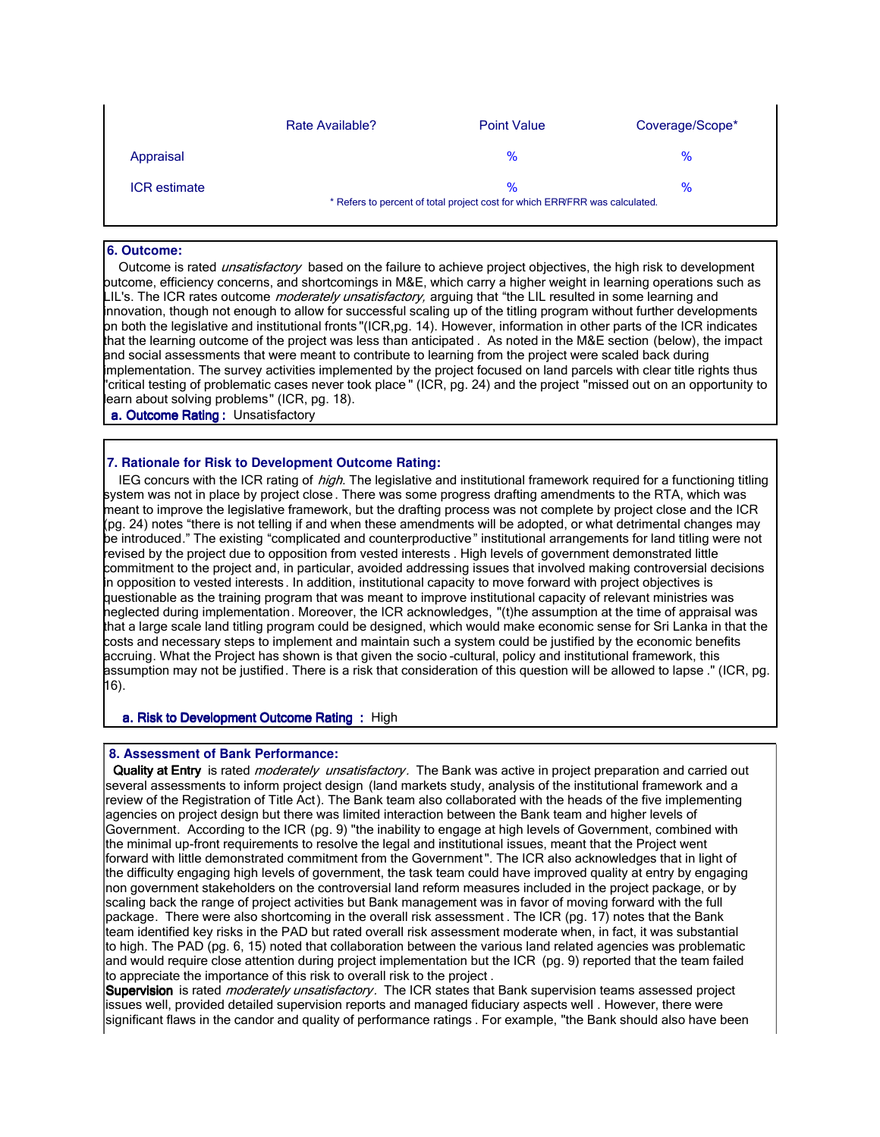|                     | Rate Available?                                                             | <b>Point Value</b> | Coverage/Scope* |
|---------------------|-----------------------------------------------------------------------------|--------------------|-----------------|
| Appraisal           |                                                                             | $\%$               | $\%$            |
| <b>ICR</b> estimate |                                                                             | $\%$               | %               |
|                     | * Refers to percent of total project cost for which ERR/FRR was calculated. |                    |                 |

#### **6. Outcome:**

Outcome is rated *unsatisfactory* based on the failure to achieve project objectives, the high risk to development outcome, efficiency concerns, and shortcomings in M&E, which carry a higher weight in learning operations such as LIL's. The ICR rates outcome *moderately unsatisfactory*, arguing that "the LIL resulted in some learning and innovation, though not enough to allow for successful scaling up of the titling program without further developments on both the legislative and institutional fronts "(ICR,pg. 14). However, information in other parts of the ICR indicates that the learning outcome of the project was less than anticipated . As noted in the M&E section (below), the impact and social assessments that were meant to contribute to learning from the project were scaled back during implementation. The survey activities implemented by the project focused on land parcels with clear title rights thus "critical testing of problematic cases never took place " (ICR, pg. 24) and the project "missed out on an opportunity to learn about solving problems" (ICR, pg. 18).

a. Outcome Rating : Unsatisfactory

# **7. Rationale for Risk to Development Outcome Rating:**

IEG concurs with the ICR rating of *high*. The legislative and institutional framework required for a functioning titling system was not in place by project close . There was some progress drafting amendments to the RTA, which was meant to improve the legislative framework, but the drafting process was not complete by project close and the ICR (pg. 24) notes "there is not telling if and when these amendments will be adopted, or what detrimental changes may be introduced." The existing "complicated and counterproductive" institutional arrangements for land titling were not revised by the project due to opposition from vested interests . High levels of government demonstrated little commitment to the project and, in particular, avoided addressing issues that involved making controversial decisions in opposition to vested interests. In addition, institutional capacity to move forward with project objectives is questionable as the training program that was meant to improve institutional capacity of relevant ministries was neglected during implementation. Moreover, the ICR acknowledges, "(t)he assumption at the time of appraisal was that a large scale land titling program could be designed, which would make economic sense for Sri Lanka in that the costs and necessary steps to implement and maintain such a system could be justified by the economic benefits accruing. What the Project has shown is that given the socio -cultural, policy and institutional framework, this assumption may not be justified. There is a risk that consideration of this question will be allowed to lapse ." (ICR, pg. 16).

#### a. Risk to Development Outcome Rating: High

#### **8. Assessment of Bank Performance:**

I

Quality at Entry is rated *moderately unsatisfactory*. The Bank was active in project preparation and carried out several assessments to inform project design (land markets study, analysis of the institutional framework and a review of the Registration of Title Act). The Bank team also collaborated with the heads of the five implementing agencies on project design but there was limited interaction between the Bank team and higher levels of Government. According to the ICR (pg. 9) "the inability to engage at high levels of Government, combined with the minimal up-front requirements to resolve the legal and institutional issues, meant that the Project went forward with little demonstrated commitment from the Government ". The ICR also acknowledges that in light of the difficulty engaging high levels of government, the task team could have improved quality at entry by engaging non government stakeholders on the controversial land reform measures included in the project package, or by scaling back the range of project activities but Bank management was in favor of moving forward with the full package. There were also shortcoming in the overall risk assessment . The ICR (pg. 17) notes that the Bank team identified key risks in the PAD but rated overall risk assessment moderate when, in fact, it was substantial to high. The PAD (pg. 6, 15) noted that collaboration between the various land related agencies was problematic and would require close attention during project implementation but the ICR (pg. 9) reported that the team failed to appreciate the importance of this risk to overall risk to the project .

Supervision is rated *moderately unsatisfactory*. The ICR states that Bank supervision teams assessed project issues well, provided detailed supervision reports and managed fiduciary aspects well . However, there were significant flaws in the candor and quality of performance ratings . For example, "the Bank should also have been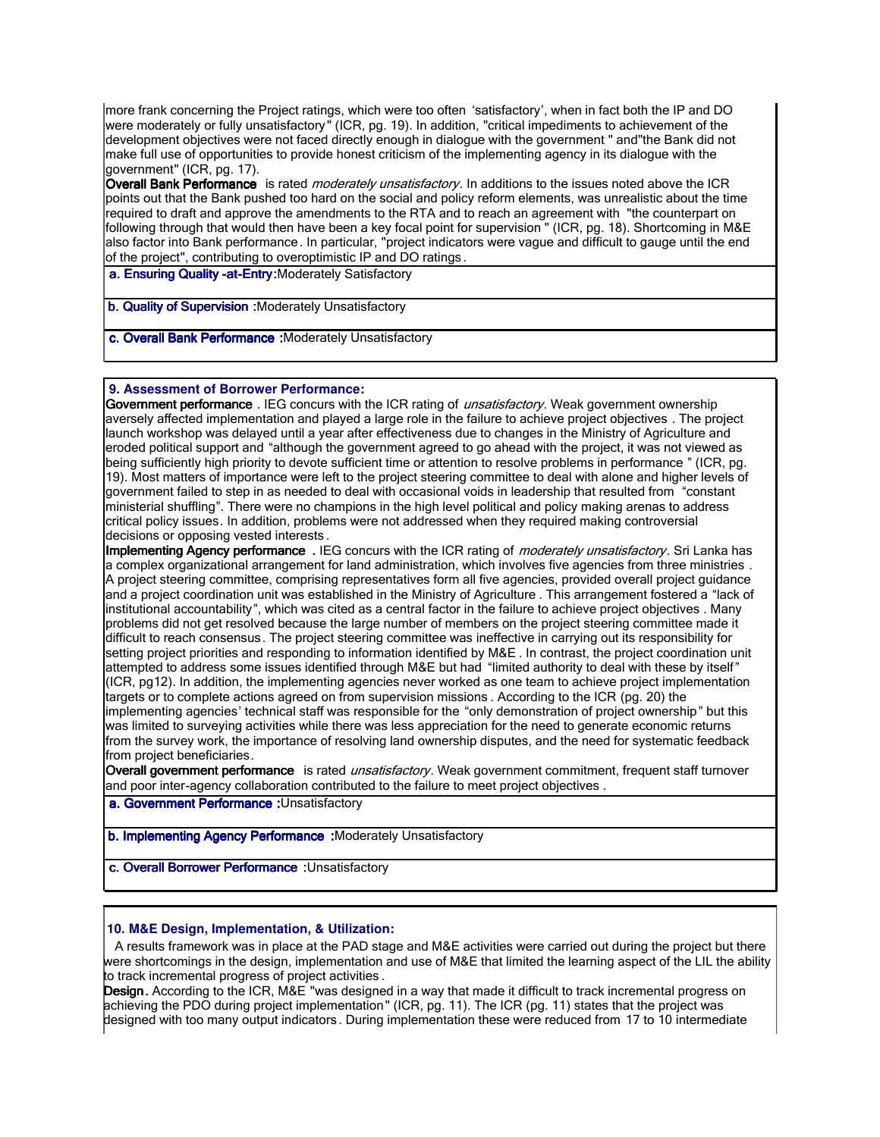more frank concerning the Project ratings, which were too often 'satisfactory', when in fact both the IP and DO were moderately or fully unsatisfactory" (ICR, pg. 19). In addition, "critical impediments to achievement of the development objectives were not faced directly enough in dialogue with the government " and"the Bank did not make full use of opportunities to provide honest criticism of the implementing agency in its dialogue with the government" (ICR, pg. 17).

Overall Bank Performance is rated *moderately unsatisfactory*. In additions to the issues noted above the ICR points out that the Bank pushed too hard on the social and policy reform elements, was unrealistic about the time required to draft and approve the amendments to the RTA and to reach an agreement with "the counterpart on following through that would then have been a key focal point for supervision " (ICR, pg. 18). Shortcoming in M&E also factor into Bank performance. In particular, "project indicators were vague and difficult to gauge until the end of the project", contributing to overoptimistic IP and DO ratings .

a. Ensuring Quality -at-Entry:Moderately Satisfactory

b. Quality of Supervision :Moderately Unsatisfactory

c. Overall Bank Performance :Moderately Unsatisfactory

 **9. Assessment of Borrower Performance:**

Government performance . IEG concurs with the ICR rating of *unsatisfactory*. Weak government ownership aversely affected implementation and played a large role in the failure to achieve project objectives . The project launch workshop was delayed until a year after effectiveness due to changes in the Ministry of Agriculture and eroded political support and "although the government agreed to go ahead with the project, it was not viewed as being sufficiently high priority to devote sufficient time or attention to resolve problems in performance " (ICR, pg. 19). Most matters of importance were left to the project steering committee to deal with alone and higher levels of government failed to step in as needed to deal with occasional voids in leadership that resulted from "constant ministerial shuffling". There were no champions in the high level political and policy making arenas to address critical policy issues. In addition, problems were not addressed when they required making controversial decisions or opposing vested interests .

Implementing Agency performance . IEG concurs with the ICR rating of moderately unsatisfactory. Sri Lanka has a complex organizational arrangement for land administration, which involves five agencies from three ministries . A project steering committee, comprising representatives form all five agencies, provided overall project guidance and a project coordination unit was established in the Ministry of Agriculture . This arrangement fostered a "lack of institutional accountability", which was cited as a central factor in the failure to achieve project objectives . Many problems did not get resolved because the large number of members on the project steering committee made it difficult to reach consensus. The project steering committee was ineffective in carrying out its responsibility for setting project priorities and responding to information identified by M&E . In contrast, the project coordination unit attempted to address some issues identified through M&E but had "limited authority to deal with these by itself" (ICR, pg12). In addition, the implementing agencies never worked as one team to achieve project implementation targets or to complete actions agreed on from supervision missions . According to the ICR (pg. 20) the implementing agencies' technical staff was responsible for the "only demonstration of project ownership" but this was limited to surveying activities while there was less appreciation for the need to generate economic returns from the survey work, the importance of resolving land ownership disputes, and the need for systematic feedback from project beneficiaries.

Overall government performance is rated *unsatisfactory*. Weak government commitment, frequent staff turnover and poor inter-agency collaboration contributed to the failure to meet project objectives .

a. Government Performance : Unsatisfactory

b. Implementing Agency Performance :Moderately Unsatisfactory

c. Overall Borrower Performance : Unsatisfactory

#### **10. M&E Design, Implementation, & Utilization:**

 A results framework was in place at the PAD stage and M&E activities were carried out during the project but there were shortcomings in the design, implementation and use of M&E that limited the learning aspect of the LIL the ability to track incremental progress of project activities .

**Design.** According to the ICR, M&E "was designed in a way that made it difficult to track incremental progress on achieving the PDO during project implementation" (ICR, pg. 11). The ICR (pg. 11) states that the project was designed with too many output indicators . During implementation these were reduced from 17 to 10 intermediate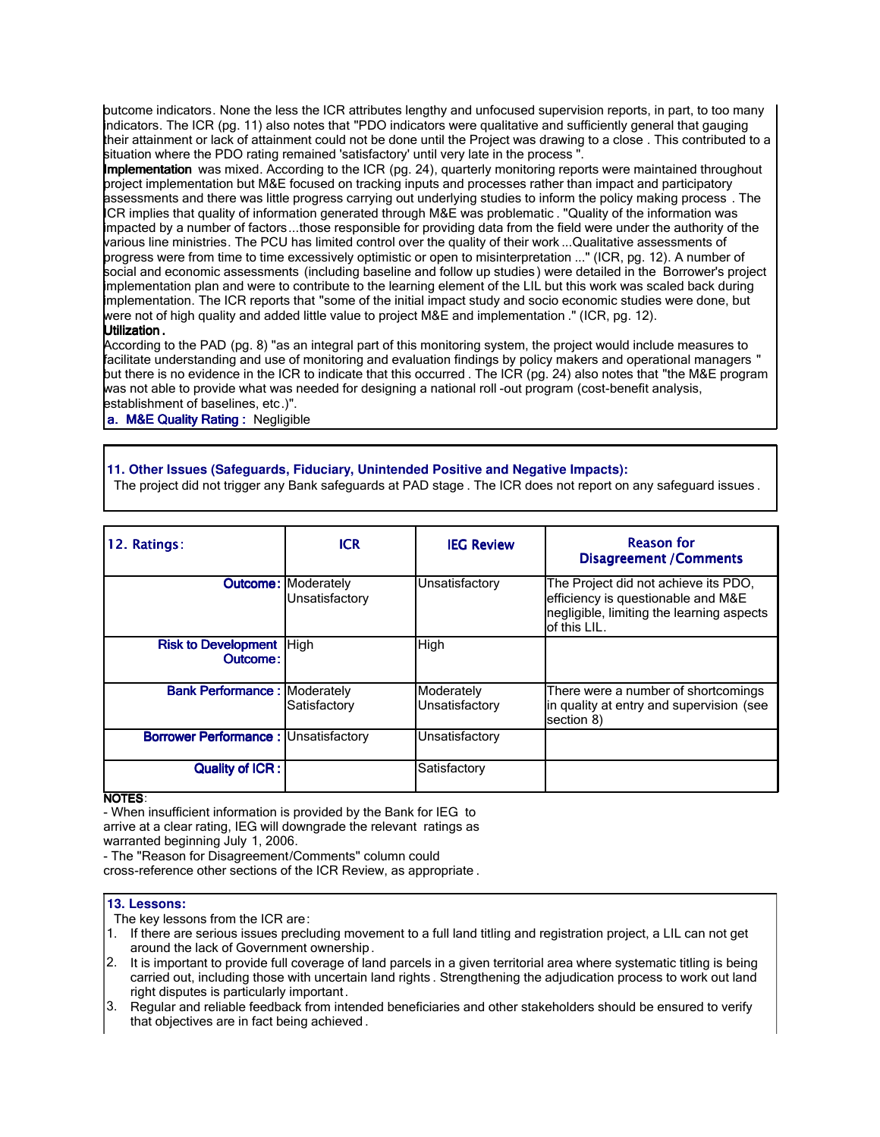butcome indicators. None the less the ICR attributes lengthy and unfocused supervision reports, in part, to too many indicators. The ICR (pg. 11) also notes that "PDO indicators were qualitative and sufficiently general that gauging their attainment or lack of attainment could not be done until the Project was drawing to a close . This contributed to a situation where the PDO rating remained 'satisfactory' until very late in the process ".

Implementation was mixed. According to the ICR (pg. 24), quarterly monitoring reports were maintained throughout project implementation but M&E focused on tracking inputs and processes rather than impact and participatory assessments and there was little progress carrying out underlying studies to inform the policy making process . The ICR implies that quality of information generated through M&E was problematic . "Quality of the information was impacted by a number of factors...those responsible for providing data from the field were under the authority of the various line ministries. The PCU has limited control over the quality of their work ...Qualitative assessments of progress were from time to time excessively optimistic or open to misinterpretation ..." (ICR, pg. 12). A number of social and economic assessments (including baseline and follow up studies ) were detailed in the Borrower's project implementation plan and were to contribute to the learning element of the LIL but this work was scaled back during implementation. The ICR reports that "some of the initial impact study and socio economic studies were done, but were not of high quality and added little value to project M&E and implementation ." (ICR, pg. 12).

#### Utilization .

According to the PAD (pg. 8) "as an integral part of this monitoring system, the project would include measures to facilitate understanding and use of monitoring and evaluation findings by policy makers and operational managers " but there is no evidence in the ICR to indicate that this occurred . The ICR (pg. 24) also notes that "the M&E program was not able to provide what was needed for designing a national roll -out program (cost-benefit analysis, establishment of baselines, etc.)".

a. M&E Quality Rating : Negligible

# **11. Other Issues (Safeguards, Fiduciary, Unintended Positive and Negative Impacts):**

The project did not trigger any Bank safeguards at PAD stage . The ICR does not report on any safeguard issues .

| 12. Ratings:                                  | <b>ICR</b>                                   | <b>IEG Review</b>            | <b>Reason for</b><br><b>Disagreement / Comments</b>                                                                                     |
|-----------------------------------------------|----------------------------------------------|------------------------------|-----------------------------------------------------------------------------------------------------------------------------------------|
|                                               | <b>Outcome: Moderately</b><br>Unsatisfactory | Unsatisfactory               | The Project did not achieve its PDO,<br>efficiency is questionable and M&E<br>negligible, limiting the learning aspects<br>of this LIL. |
| <b>Risk to Development   High</b><br>Outcome: |                                              | High                         |                                                                                                                                         |
| <b>Bank Performance: Moderately</b>           | Satisfactory                                 | Moderately<br>Unsatisfactory | There were a number of shortcomings<br>in quality at entry and supervision (see<br>section 8)                                           |
| <b>Borrower Performance: Unsatisfactory</b>   |                                              | Unsatisfactory               |                                                                                                                                         |
| <b>Quality of ICR:</b>                        |                                              | Satisfactory                 |                                                                                                                                         |

## NOTES:

- When insufficient information is provided by the Bank for IEG to arrive at a clear rating, IEG will downgrade the relevant ratings as warranted beginning July 1, 2006.

- The "Reason for Disagreement/Comments" column could cross-reference other sections of the ICR Review, as appropriate .

#### **13. Lessons:**

The key lessons from the ICR are:

- 1. If there are serious issues precluding movement to a full land titling and registration project, a LIL can not get around the lack of Government ownership.
- 2. It is important to provide full coverage of land parcels in a given territorial area where systematic titling is being carried out, including those with uncertain land rights . Strengthening the adjudication process to work out land right disputes is particularly important.
- 3. Regular and reliable feedback from intended beneficiaries and other stakeholders should be ensured to verify that objectives are in fact being achieved .